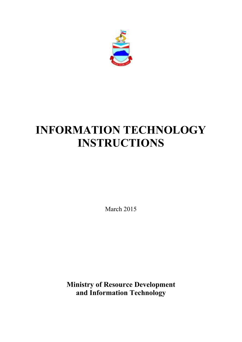

# **INFORMATION TECHNOLOGY INSTRUCTIONS**

March 2015

**Ministry of Resource Development and Information Technology**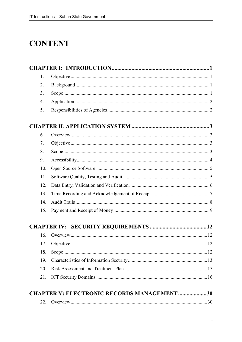# **CONTENT**

| 1.               |                                                   |  |
|------------------|---------------------------------------------------|--|
| $\overline{2}$ . |                                                   |  |
| 3.               |                                                   |  |
| $\overline{4}$ . |                                                   |  |
| 5.               |                                                   |  |
|                  |                                                   |  |
| 6.               |                                                   |  |
| 7.               |                                                   |  |
| 8.               |                                                   |  |
| 9.               |                                                   |  |
| 10.              |                                                   |  |
| 11.              |                                                   |  |
| 12.              |                                                   |  |
| 13.              |                                                   |  |
| 14.              |                                                   |  |
| 15.              |                                                   |  |
|                  |                                                   |  |
| 16.              |                                                   |  |
| 17.              |                                                   |  |
| 18.              |                                                   |  |
| 19.              |                                                   |  |
| 20.              |                                                   |  |
| 21.              |                                                   |  |
|                  | <b>CHAPTER V: ELECTRONIC RECORDS MANAGEMENT30</b> |  |
| 22.              |                                                   |  |
|                  |                                                   |  |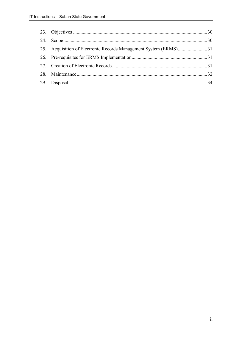| 25. Acquisition of Electronic Records Management System (ERMS)31 |  |
|------------------------------------------------------------------|--|
|                                                                  |  |
|                                                                  |  |
|                                                                  |  |
|                                                                  |  |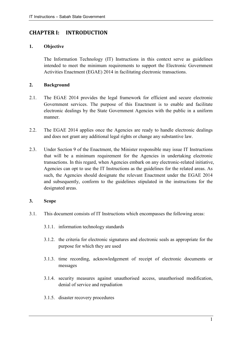# **CHAPTER I: INTRODUCTION**

# **1. Objective**

The Information Technology (IT) Instructions in this context serve as guidelines intended to meet the minimum requirements to support the Electronic Government Activities Enactment (EGAE) 2014 in facilitating electronic transactions.

# **2. Background**

- 2.1. The EGAE 2014 provides the legal framework for efficient and secure electronic Government services. The purpose of this Enactment is to enable and facilitate electronic dealings by the State Government Agencies with the public in a uniform manner.
- 2.2. The EGAE 2014 applies once the Agencies are ready to handle electronic dealings and does not grant any additional legal rights or change any substantive law.
- 2.3. Under Section 9 of the Enactment, the Minister responsible may issue IT Instructions that will be a minimum requirement for the Agencies in undertaking electronic transactions. In this regard, when Agencies embark on any electronic-related initiative, Agencies can opt to use the IT Instructions as the guidelines for the related areas. As such, the Agencies should designate the relevant Enactment under the EGAE 2014 and subsequently, conform to the guidelines stipulated in the instructions for the designated areas.

# **3. Scope**

- 3.1. This document consists of IT Instructions which encompasses the following areas:
	- 3.1.1. information technology standards
	- 3.1.2. the criteria for electronic signatures and electronic seals as appropriate for the purpose for which they are used
	- 3.1.3. time recording, acknowledgement of receipt of electronic documents or messages
	- 3.1.4. security measures against unauthorised access, unauthorised modification, denial of service and repudiation
	- 3.1.5. disaster recovery procedures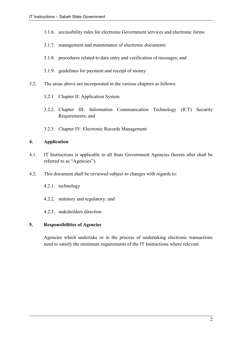- 3.1.6. accessibility rules for electronic Government services and electronic forms
- 3.1.7. management and maintenance of electronic documents
- 3.1.8. procedures related to data entry and verification of messages; and
- 3.1.9. guidelines for payment and receipt of money
- 3.2. The areas above are incorporated in the various chapters as follows:
	- 3.2.1. Chapter II: Application System
	- 3.2.2. Chapter III: Information Communication Technology (ICT) Security Requirements; and
	- 3.2.3. Chapter IV: Electronic Records Management

# **4. Application**

- 4.1. IT Instructions is applicable to all State Government Agencies (herein after shall be referred to as "Agencies").
- 4.2. This document shall be reviewed subject to changes with regards to:
	- 4.2.1. technology
	- 4.2.2. statutory and regulatory; and
	- 4.2.3. stakeholders direction

# **5. Responsibilities of Agencies**

Agencies which undertake or in the process of undertaking electronic transactions need to satisfy the minimum requirements of the IT Instructions where relevant.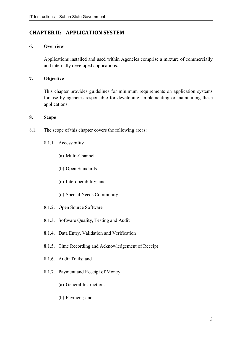# **CHAPTER II: APPLICATION SYSTEM**

# **6. Overview**

Applications installed and used within Agencies comprise a mixture of commercially and internally developed applications.

# **7. Objective**

This chapter provides guidelines for minimum requirements on application systems for use by agencies responsible for developing, implementing or maintaining these applications.

# **8. Scope**

- 8.1. The scope of this chapter covers the following areas:
	- 8.1.1. Accessibility
		- (a) Multi-Channel
		- (b) Open Standards
		- (c) Interoperability; and
		- (d) Special Needs Community
	- 8.1.2. Open Source Software
	- 8.1.3. Software Quality, Testing and Audit
	- 8.1.4. Data Entry, Validation and Verification
	- 8.1.5. Time Recording and Acknowledgement of Receipt
	- 8.1.6. Audit Trails; and
	- 8.1.7. Payment and Receipt of Money
		- (a) General Instructions
		- (b) Payment; and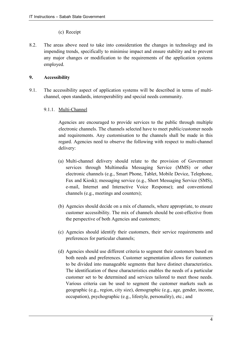# (c) Receipt

8.2. The areas above need to take into consideration the changes in technology and its impending trends, specifically to minimise impact and ensure stability and to prevent any major changes or modification to the requirements of the application systems employed.

# **9. Accessibility**

- 9.1. The accessibility aspect of application systems will be described in terms of multichannel, open standards, interoperability and special needs community.
	- 9.1.1. Multi-Channel

Agencies are encouraged to provide services to the public through multiple electronic channels. The channels selected have to meet public/customer needs and requirements. Any customisation to the channels shall be made in this regard. Agencies need to observe the following with respect to multi-channel delivery:

- (a) Multi-channel delivery should relate to the provision of Government services through Multimedia Messaging Service (MMS) or other electronic channels (e.g., Smart Phone, Tablet, Mobile Device, Telephone, Fax and Kiosk); messaging service (e.g., Short Messaging Service (SMS), e-mail, Internet and Interactive Voice Response); and conventional channels (e.g., meetings and counters);
- (b) Agencies should decide on a mix of channels, where appropriate, to ensure customer accessibility. The mix of channels should be cost-effective from the perspective of both Agencies and customers;
- (c) Agencies should identify their customers, their service requirements and preferences for particular channels;
- (d) Agencies should use different criteria to segment their customers based on both needs and preferences. Customer segmentation allows for customers to be divided into manageable segments that have distinct characteristics. The identification of these characteristics enables the needs of a particular customer set to be determined and services tailored to meet those needs. Various criteria can be used to segment the customer markets such as geographic (e.g., region, city size), demographic (e.g., age, gender, income, occupation), psychographic (e.g., lifestyle, personality), etc.; and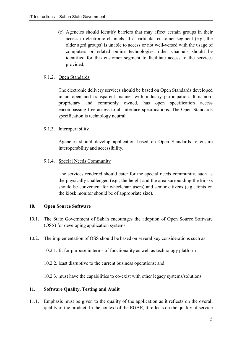(e) Agencies should identify barriers that may affect certain groups in their access to electronic channels. If a particular customer segment (e.g., the older aged groups) is unable to access or not well-versed with the usage of computers or related online technologies, other channels should be identified for this customer segment to facilitate access to the services provided.

# 9.1.2. Open Standards

The electronic delivery services should be based on Open Standards developed in an open and transparent manner with industry participation. It is nonproprietary and commonly owned, has open specification access encompassing free access to all interface specifications. The Open Standards specification is technology neutral.

# 9.1.3. Interoperability

Agencies should develop application based on Open Standards to ensure interoperability and accessibility.

# 9.1.4. Special Needs Community

The services rendered should cater for the special needs community, such as the physically challenged (e.g., the height and the area surrounding the kiosks should be convenient for wheelchair users) and senior citizens (e.g., fonts on the kiosk monitor should be of appropriate size).

# **10. Open Source Software**

- 10.1. The State Government of Sabah encourages the adoption of Open Source Software (OSS) for developing application systems.
- 10.2. The implementation of OSS should be based on several key considerations such as:
	- 10.2.1. fit for purpose in terms of functionality as well as technology platform

10.2.2. least disruptive to the current business operations; and

10.2.3. must have the capabilities to co-exist with other legacy systems/solutions

# **11. Software Quality, Testing and Audit**

11.1. Emphasis must be given to the quality of the application as it reflects on the overall quality of the product. In the context of the EGAE, it reflects on the quality of service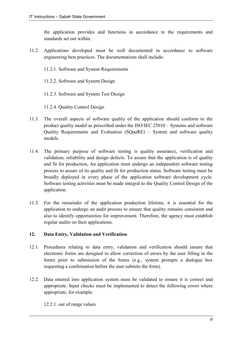the application provides and functions in accordance to the requirements and standards set out within.

- 11.2. Applications developed must be well documented in accordance to software engineering best practices. The documentations shall include:
	- 11.2.1. Software and System Requirements
	- 11.2.2. Software and System Design
	- 11.2.3. Software and System Test Design
	- 11.2.4. Quality Control Design
- 11.3. The overall aspects of software quality of the application should conform to the product quality model as prescribed under the ISO/IEC 25010 – Systems and software Quality Requirements and Evaluation (SQuaRE) – System and software quality models.
- 11.4. The primary purpose of software testing is quality assurance, verification and validation, reliability and design defects. To assure that the application is of quality and fit for production, An application must undergo an independent software testing process to assure of its quality and fit for production status. Software testing must be broadly deployed in every phase of the application software development cycle. Software testing activities must be made integral to the Quality Control Design of the application.
- 11.5. For the remainder of the application production lifetime, it is essential for the application to undergo an audit process to ensure that quality remains consistent and also to identify opportunities for improvement. Therefore, the agency must establish regular audits on their applications.

# **12. Data Entry, Validation and Verification**

- 12.1. Procedures relating to data entry, validation and verification should ensure that electronic forms are designed to allow correction of errors by the user filling in the forms prior to submission of the forms (e.g., system prompts a dialogue box requesting a confirmation before the user submits the form).
- 12.2. Data entered into application system must be validated to ensure it is correct and appropriate. Input checks must be implemented to detect the following errors where appropriate, for example:

12.2.1. out of range values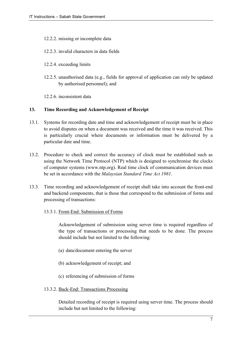- 12.2.2. missing or incomplete data
- 12.2.3. invalid characters in data fields
- 12.2.4. exceeding limits
- 12.2.5. unauthorised data (e.g., fields for approval of application can only be updated by authorised personnel); and
- 12.2.6. inconsistent data

# **13. Time Recording and Acknowledgement of Receipt**

- 13.1. Systems for recording date and time and acknowledgement of receipt must be in place to avoid disputes on when a document was received and the time it was received. This is particularly crucial where documents or information must be delivered by a particular date and time.
- 13.2. Procedure to check and correct the accuracy of clock must be established such as using the Network Time Protocol (NTP) which is designed to synchronise the clocks of computer systems (www.ntp.org). Real time clock of communication devices must be set in accordance with the *Malaysian Standard Time Act 1981*.
- 13.3. Time recording and acknowledgement of receipt shall take into account the front-end and backend components, that is those that correspond to the submission of forms and processing of transactions:
	- 13.3.1. Front-End: Submission of Forms

Acknowledgement of submission using server time is required regardless of the type of transactions or processing that needs to be done. The process should include but not limited to the following:

- (a) data/document entering the server
- (b) acknowledgement of receipt; and
- (c) referencing of submission of forms
- 13.3.2. Back-End: Transactions Processing

Detailed recording of receipt is required using server time. The process should include but not limited to the following: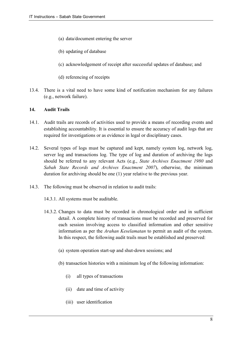- (a) data/document entering the server
- (b) updating of database
- (c) acknowledgement of receipt after successful updates of database; and
- (d) referencing of receipts
- 13.4. There is a vital need to have some kind of notification mechanism for any failures (e.g., network failure).

# **14. Audit Trails**

- 14.1. Audit trails are records of activities used to provide a means of recording events and establishing accountability. It is essential to ensure the accuracy of audit logs that are required for investigations or as evidence in legal or disciplinary cases.
- 14.2. Several types of logs must be captured and kept, namely system log, network log, server log and transactions log. The type of log and duration of archiving the logs should be referred to any relevant Acts (e.g., *State Archives Enactment 1980* and *Sabah State Records and Archives Enactment 2007*), otherwise, the minimum duration for archiving should be one (1) year relative to the previous year.
- 14.3. The following must be observed in relation to audit trails:
	- 14.3.1. All systems must be auditable.
	- 14.3.2. Changes to data must be recorded in chronological order and in sufficient detail. A complete history of transactions must be recorded and preserved for each session involving access to classified information and other sensitive information as per the *Arahan Keselamatan* to permit an audit of the system. In this respect, the following audit trails must be established and preserved:
		- (a) system operation start-up and shut-down sessions; and
		- (b) transaction histories with a minimum log of the following information:
			- (i) all types of transactions
			- (ii) date and time of activity
			- (iii) user identification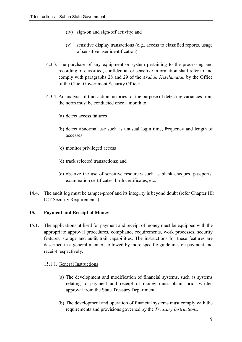- (iv) sign-on and sign-off activity; and
- (v) sensitive display transactions (e.g., access to classified reports, usage of sensitive user identification)
- 14.3.3. The purchase of any equipment or system pertaining to the processing and recording of classified, confidential or sensitive information shall refer to and comply with paragraphs 28 and 29 of the *Arahan Keselamatan* by the Office of the Chief Government Security Officer.
- 14.3.4. An analysis of transaction histories for the purpose of detecting variances from the norm must be conducted once a month to:
	- (a) detect access failures
	- (b) detect abnormal use such as unusual login time, frequency and length of accesses
	- (c) monitor privileged access
	- (d) track selected transactions; and
	- (e) observe the use of sensitive resources such as blank cheques, passports, examination certificates, birth certificates, etc.
- 14.4. The audit log must be tamper-proof and its integrity is beyond doubt (refer Chapter III: ICT Security Requirements).

# **15. Payment and Receipt of Money**

15.1. The applications utilised for payment and receipt of money must be equipped with the appropriate approval procedures, compliance requirements, work processes, security features, storage and audit trail capabilities. The instructions for these features are described in a general manner, followed by more specific guidelines on payment and receipt respectively.

#### 15.1.1. General Instructions

- (a) The development and modification of financial systems, such as systems relating to payment and receipt of money must obtain prior written approval from the State Treasury Department.
- (b) The development and operation of financial systems must comply with the requirements and provisions governed by the *Treasury Instructions*.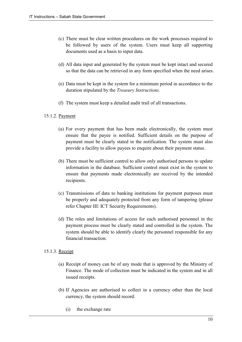- (c) There must be clear written procedures on the work processes required to be followed by users of the system. Users must keep all supporting documents used as a basis to input data.
- (d) All data input and generated by the system must be kept intact and secured so that the data can be retrieved in any form specified when the need arises.
- (e) Data must be kept in the system for a minimum period in accordance to the duration stipulated by the *Treasury Instructions*.
- (f) The system must keep a detailed audit trail of all transactions.

# 15.1.2. Payment

- (a) For every payment that has been made electronically, the system must ensure that the payee is notified. Sufficient details on the purpose of payment must be clearly stated in the notification. The system must also provide a facility to allow payees to enquire about their payment status.
- (b) There must be sufficient control to allow only authorised persons to update information in the database. Sufficient control must exist in the system to ensure that payments made electronically are received by the intended recipients.
- (c) Transmissions of data to banking institutions for payment purposes must be properly and adequately protected from any form of tampering (please refer Chapter III: ICT Security Requirements).
- (d) The roles and limitations of access for each authorised personnel in the payment process must be clearly stated and controlled in the system. The system should be able to identify clearly the personnel responsible for any financial transaction.

# 15.1.3. Receipt

- (a) Receipt of money can be of any mode that is approved by the Ministry of Finance. The mode of collection must be indicated in the system and in all issued receipts.
- (b) If Agencies are authorised to collect in a currency other than the local currency, the system should record:
	- (i) the exchange rate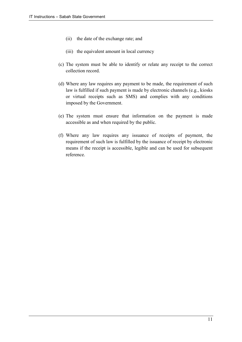- (ii) the date of the exchange rate; and
- (iii) the equivalent amount in local currency
- (c) The system must be able to identify or relate any receipt to the correct collection record.
- (d) Where any law requires any payment to be made, the requirement of such law is fulfilled if such payment is made by electronic channels (e.g., kiosks or virtual receipts such as SMS) and complies with any conditions imposed by the Government.
- (e) The system must ensure that information on the payment is made accessible as and when required by the public.
- (f) Where any law requires any issuance of receipts of payment, the requirement of such law is fulfilled by the issuance of receipt by electronic means if the receipt is accessible, legible and can be used for subsequent reference.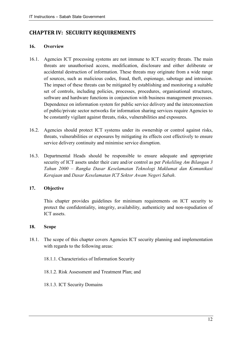# **CHAPTER IV: SECURITY REQUIREMENTS**

# **16. Overview**

- 16.1. Agencies ICT processing systems are not immune to ICT security threats. The main threats are unauthorised access, modification, disclosure and either deliberate or accidental destruction of information. These threats may originate from a wide range of sources, such as malicious codes, fraud, theft, espionage, sabotage and intrusion. The impact of these threats can be mitigated by establishing and monitoring a suitable set of controls, including policies, processes, procedures, organisational structures, software and hardware functions in conjunction with business management processes. Dependence on information system for public service delivery and the interconnection of public/private sector networks for information sharing services require Agencies to be constantly vigilant against threats, risks, vulnerabilities and exposures.
- 16.2. Agencies should protect ICT systems under its ownership or control against risks, threats, vulnerabilities or exposures by mitigating its effects cost effectively to ensure service delivery continuity and minimise service disruption.
- 16.3. Departmental Heads should be responsible to ensure adequate and appropriate security of ICT assets under their care and/or control as per *Pekeliling Am Bilangan 3 Tahun 2000 – Rangka Dasar Keselamatan Teknologi Maklumat dan Komunikasi Kerajaan* and *Dasar Keselamatan ICT Sektor Awam Negeri Sabah*.

# **17. Objective**

This chapter provides guidelines for minimum requirements on ICT security to protect the confidentiality, integrity, availability, authenticity and non-repudiation of ICT assets.

# **18. Scope**

- 18.1. The scope of this chapter covers Agencies ICT security planning and implementation with regards to the following areas:
	- 18.1.1. Characteristics of Information Security
	- 18.1.2. Risk Assessment and Treatment Plan; and
	- 18.1.3. ICT Security Domains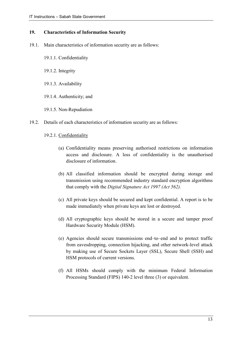# **19. Characteristics of Information Security**

- 19.1. Main characteristics of information security are as follows:
	- 19.1.1. Confidentiality
	- 19.1.2. Integrity
	- 19.1.3. Availability
	- 19.1.4. Authenticity; and
	- 19.1.5. Non-Repudiation
- 19.2. Details of each characteristics of information security are as follows:
	- 19.2.1. Confidentiality
		- (a) Confidentiality means preserving authorised restrictions on information access and disclosure. A loss of confidentiality is the unauthorised disclosure of information.
		- (b) All classified information should be encrypted during storage and transmission using recommended industry standard encryption algorithms that comply with the *Digital Signature Act 1997 (Act 562).*
		- (c) All private keys should be secured and kept confidential. A report is to be made immediately when private keys are lost or destroyed.
		- (d) All cryptographic keys should be stored in a secure and tamper proof Hardware Security Module (HSM).
		- (e) Agencies should secure transmissions end–to–end and to protect traffic from eavesdropping, connection hijacking, and other network-level attack by making use of Secure Sockets Layer (SSL), Secure Shell (SSH) and HSM protocols of current versions.
		- (f) All HSMs should comply with the minimum Federal Information Processing Standard (FIPS) 140-2 level three (3) or equivalent.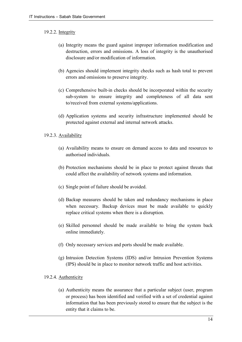# 19.2.2. Integrity

- (a) Integrity means the guard against improper information modification and destruction, errors and omissions. A loss of integrity is the unauthorised disclosure and/or modification of information.
- (b) Agencies should implement integrity checks such as hash total to prevent errors and omissions to preserve integrity.
- (c) Comprehensive built-in checks should be incorporated within the security sub-system to ensure integrity and completeness of all data sent to/received from external systems/applications.
- (d) Application systems and security infrastructure implemented should be protected against external and internal network attacks.

# 19.2.3. Availability

- (a) Availability means to ensure on demand access to data and resources to authorised individuals.
- (b) Protection mechanisms should be in place to protect against threats that could affect the availability of network systems and information.
- (c) Single point of failure should be avoided.
- (d) Backup measures should be taken and redundancy mechanisms in place when necessary. Backup devices must be made available to quickly replace critical systems when there is a disruption.
- (e) Skilled personnel should be made available to bring the system back online immediately.
- (f) Only necessary services and ports should be made available.
- (g) Intrusion Detection Systems (IDS) and/or Intrusion Prevention Systems (IPS) should be in place to monitor network traffic and host activities.

# 19.2.4. Authenticity

(a) Authenticity means the assurance that a particular subject (user, program or process) has been identified and verified with a set of credential against information that has been previously stored to ensure that the subject is the entity that it claims to be.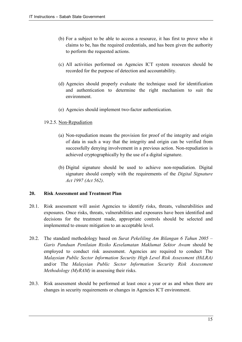- (b) For a subject to be able to access a resource, it has first to prove who it claims to be, has the required credentials, and has been given the authority to perform the requested actions.
- (c) All activities performed on Agencies ICT system resources should be recorded for the purpose of detection and accountability.
- (d) Agencies should properly evaluate the technique used for identification and authentication to determine the right mechanism to suit the environment.
- (e) Agencies should implement two-factor authentication.

# 19.2.5. Non-Repudiation

- (a) Non-repudiation means the provision for proof of the integrity and origin of data in such a way that the integrity and origin can be verified from successfully denying involvement in a previous action. Non-repudiation is achieved cryptographically by the use of a digital signature.
- (b) Digital signature should be used to achieve non-repudiation. Digital signature should comply with the requirements of the *Digital Signature Act 1997 (Act 562)*.

# **20. Risk Assessment and Treatment Plan**

- 20.1. Risk assessment will assist Agencies to identify risks, threats, vulnerabilities and exposures. Once risks, threats, vulnerabilities and exposures have been identified and decisions for the treatment made, appropriate controls should be selected and implemented to ensure mitigation to an acceptable level.
- 20.2. The standard methodology based on *Surat Pekeliling Am Bilangan 6 Tahun 2005 Garis Panduan Penilaian Risiko Keselamatan Maklumat Sektor Awam* should be employed to conduct risk assessment. Agencies are required to conduct The *Malaysian Public Sector Information Security High Level Risk Assessment (HiLRA)* and/or The *Malaysian Public Sector Information Security Risk Assessment Methodology (MyRAM)* in assessing their risks.
- 20.3. Risk assessment should be performed at least once a year or as and when there are changes in security requirements or changes in Agencies ICT environment.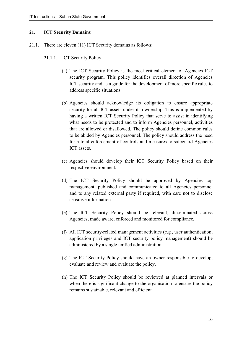# **21. ICT Security Domains**

21.1. There are eleven (11) ICT Security domains as follows:

# 21.1.1. ICT Security Policy

- (a) The ICT Security Policy is the most critical element of Agencies ICT security program. This policy identifies overall direction of Agencies ICT security and as a guide for the development of more specific rules to address specific situations.
- (b) Agencies should acknowledge its obligation to ensure appropriate security for all ICT assets under its ownership. This is implemented by having a written ICT Security Policy that serve to assist in identifying what needs to be protected and to inform Agencies personnel, activities that are allowed or disallowed. The policy should define common rules to be abided by Agencies personnel. The policy should address the need for a total enforcement of controls and measures to safeguard Agencies ICT assets.
- (c) Agencies should develop their ICT Security Policy based on their respective environment.
- (d) The ICT Security Policy should be approved by Agencies top management, published and communicated to all Agencies personnel and to any related external party if required, with care not to disclose sensitive information.
- (e) The ICT Security Policy should be relevant, disseminated across Agencies, made aware, enforced and monitored for compliance.
- (f) All ICT security-related management activities (e.g., user authentication, application privileges and ICT security policy management) should be administered by a single unified administration.
- (g) The ICT Security Policy should have an owner responsible to develop, evaluate and review and evaluate the policy.
- (h) The ICT Security Policy should be reviewed at planned intervals or when there is significant change to the organisation to ensure the policy remains sustainable, relevant and efficient.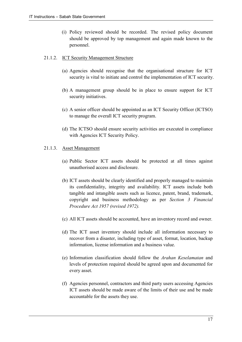(i) Policy reviewed should be recorded. The revised policy document should be approved by top management and again made known to the personnel.

# 21.1.2. ICT Security Management Structure

- (a) Agencies should recognise that the organisational structure for ICT security is vital to initiate and control the implementation of ICT security.
- (b) A management group should be in place to ensure support for ICT security initiatives.
- (c) A senior officer should be appointed as an ICT Security Officer (ICTSO) to manage the overall ICT security program.
- (d) The ICTSO should ensure security activities are executed in compliance with Agencies ICT Security Policy.

# 21.1.3. Asset Management

- (a) Public Sector ICT assets should be protected at all times against unauthorised access and disclosure.
- (b) ICT assets should be clearly identified and properly managed to maintain its confidentiality, integrity and availability. ICT assets include both tangible and intangible assets such as licence, patent, brand, trademark, copyright and business methodology as per *Section 3 Financial Procedure Act 1957 (revised 1972).*
- (c) All ICT assets should be accounted, have an inventory record and owner.
- (d) The ICT asset inventory should include all information necessary to recover from a disaster, including type of asset, format, location, backup information, license information and a business value.
- (e) Information classification should follow the *Arahan Keselamatan* and levels of protection required should be agreed upon and documented for every asset.
- (f) Agencies personnel, contractors and third party users accessing Agencies ICT assets should be made aware of the limits of their use and be made accountable for the assets they use.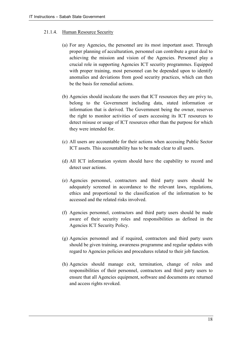# 21.1.4. Human Resource Security

- (a) For any Agencies, the personnel are its most important asset. Through proper planning of acculturation, personnel can contribute a great deal to achieving the mission and vision of the Agencies. Personnel play a crucial role in supporting Agencies ICT security programmes. Equipped with proper training, most personnel can be depended upon to identify anomalies and deviations from good security practices, which can then be the basis for remedial actions.
- (b) Agencies should inculcate the users that ICT resources they are privy to, belong to the Government including data, stated information or information that is derived. The Government being the owner, reserves the right to monitor activities of users accessing its ICT resources to detect misuse or usage of ICT resources other than the purpose for which they were intended for.
- (c) All users are accountable for their actions when accessing Public Sector ICT assets. This accountability has to be made clear to all users.
- (d) All ICT information system should have the capability to record and detect user actions.
- (e) Agencies personnel, contractors and third party users should be adequately screened in accordance to the relevant laws, regulations, ethics and proportional to the classification of the information to be accessed and the related risks involved.
- (f) Agencies personnel, contractors and third party users should be made aware of their security roles and responsibilities as defined in the Agencies ICT Security Policy.
- (g) Agencies personnel and if required, contractors and third party users should be given training, awareness programme and regular updates with regard to Agencies policies and procedures related to their job function.
- (h) Agencies should manage exit, termination, change of roles and responsibilities of their personnel, contractors and third party users to ensure that all Agencies equipment, software and documents are returned and access rights revoked.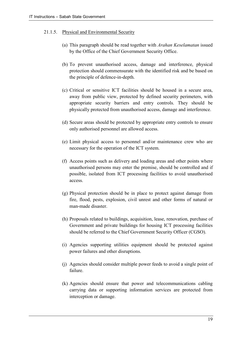# 21.1.5. Physical and Environmental Security

- (a) This paragraph should be read together with *Arahan Keselamatan* issued by the Office of the Chief Government Security Office.
- (b) To prevent unauthorised access, damage and interference, physical protection should commensurate with the identified risk and be based on the principle of defence-in-depth.
- (c) Critical or sensitive ICT facilities should be housed in a secure area, away from public view, protected by defined security perimeters, with appropriate security barriers and entry controls. They should be physically protected from unauthorised access, damage and interference.
- (d) Secure areas should be protected by appropriate entry controls to ensure only authorised personnel are allowed access.
- (e) Limit physical access to personnel and/or maintenance crew who are necessary for the operation of the ICT system.
- (f) Access points such as delivery and loading areas and other points where unauthorised persons may enter the premise, should be controlled and if possible, isolated from ICT processing facilities to avoid unauthorised access.
- (g) Physical protection should be in place to protect against damage from fire, flood, pests, explosion, civil unrest and other forms of natural or man-made disaster.
- (h) Proposals related to buildings, acquisition, lease, renovation, purchase of Government and private buildings for housing ICT processing facilities should be referred to the Chief Government Security Officer (CGSO).
- (i) Agencies supporting utilities equipment should be protected against power failures and other disruptions.
- (j) Agencies should consider multiple power feeds to avoid a single point of failure.
- (k) Agencies should ensure that power and telecommunications cabling carrying data or supporting information services are protected from interception or damage.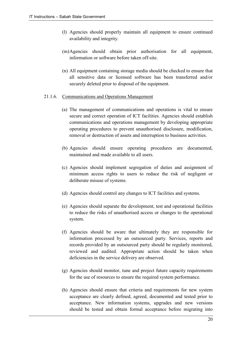- (l) Agencies should properly maintain all equipment to ensure continued availability and integrity.
- (m)Agencies should obtain prior authorisation for all equipment, information or software before taken off-site.
- (n) All equipment containing storage media should be checked to ensure that all sensitive data or licensed software has been transferred and/or securely deleted prior to disposal of the equipment.
- 21.1.6. Communications and Operations Management
	- (a) The management of communications and operations is vital to ensure secure and correct operation of ICT facilities. Agencies should establish communications and operations management by developing appropriate operating procedures to prevent unauthorised disclosure, modification, removal or destruction of assets and interruption to business activities.
	- (b) Agencies should ensure operating procedures are documented, maintained and made available to all users.
	- (c) Agencies should implement segregation of duties and assignment of minimum access rights to users to reduce the risk of negligent or deliberate misuse of systems.
	- (d) Agencies should control any changes to ICT facilities and systems.
	- (e) Agencies should separate the development, test and operational facilities to reduce the risks of unauthorised access or changes to the operational system.
	- (f) Agencies should be aware that ultimately they are responsible for information processed by an outsourced party. Services, reports and records provided by an outsourced party should be regularly monitored, reviewed and audited. Appropriate action should be taken when deficiencies in the service delivery are observed.
	- (g) Agencies should monitor, tune and project future capacity requirements for the use of resources to ensure the required system performance.
	- (h) Agencies should ensure that criteria and requirements for new system acceptance are clearly defined, agreed, documented and tested prior to acceptance. New information systems, upgrades and new versions should be tested and obtain formal acceptance before migrating into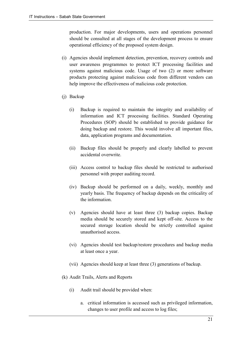production. For major developments, users and operations personnel should be consulted at all stages of the development process to ensure operational efficiency of the proposed system design.

- (i) Agencies should implement detection, prevention, recovery controls and user awareness programmes to protect ICT processing facilities and systems against malicious code. Usage of two (2) or more software products protecting against malicious code from different vendors can help improve the effectiveness of malicious code protection.
- (j) Backup
	- (i) Backup is required to maintain the integrity and availability of information and ICT processing facilities. Standard Operating Procedures (SOP) should be established to provide guidance for doing backup and restore. This would involve all important files, data, application programs and documentation.
	- (ii) Backup files should be properly and clearly labelled to prevent accidental overwrite.
	- (iii) Access control to backup files should be restricted to authorised personnel with proper auditing record.
	- (iv) Backup should be performed on a daily, weekly, monthly and yearly basis. The frequency of backup depends on the criticality of the information.
	- (v) Agencies should have at least three (3) backup copies. Backup media should be securely stored and kept off-site. Access to the secured storage location should be strictly controlled against unauthorised access.
	- (vi) Agencies should test backup/restore procedures and backup media at least once a year.
	- (vii) Agencies should keep at least three (3) generations of backup.
- (k) Audit Trails, Alerts and Reports
	- (i) Audit trail should be provided when:
		- a. critical information is accessed such as privileged information, changes to user profile and access to log files;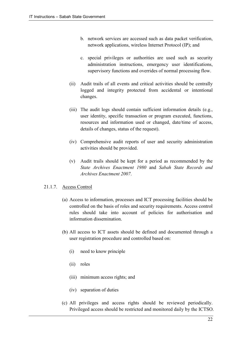- b. network services are accessed such as data packet verification, network applications, wireless Internet Protocol (IP); and
- c. special privileges or authorities are used such as security administration instructions, emergency user identifications, supervisory functions and overrides of normal processing flow.
- (ii) Audit trails of all events and critical activities should be centrally logged and integrity protected from accidental or intentional changes.
- (iii) The audit logs should contain sufficient information details (e.g., user identity, specific transaction or program executed, functions, resources and information used or changed, date/time of access, details of changes, status of the request).
- (iv) Comprehensive audit reports of user and security administration activities should be provided.
- (v) Audit trails should be kept for a period as recommended by the *State Archives Enactment 1980* and *Sabah State Records and Archives Enactment 2007*.

# 21.1.7. Access Control

- (a) Access to information, processes and ICT processing facilities should be controlled on the basis of roles and security requirements. Access control rules should take into account of policies for authorisation and information dissemination.
- (b) All access to ICT assets should be defined and documented through a user registration procedure and controlled based on:
	- (i) need to know principle
	- (ii) roles
	- (iii) minimum access rights; and
	- (iv) separation of duties
- (c) All privileges and access rights should be reviewed periodically. Privileged access should be restricted and monitored daily by the ICTSO.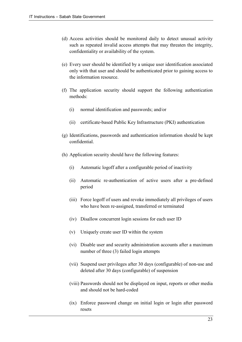- (d) Access activities should be monitored daily to detect unusual activity such as repeated invalid access attempts that may threaten the integrity, confidentiality or availability of the system.
- (e) Every user should be identified by a unique user identification associated only with that user and should be authenticated prior to gaining access to the information resource.
- (f) The application security should support the following authentication methods:
	- (i) normal identification and passwords; and/or
	- (ii) certificate-based Public Key Infrastructure (PKI) authentication
- (g) Identifications, passwords and authentication information should be kept confidential.
- (h) Application security should have the following features:
	- (i) Automatic logoff after a configurable period of inactivity
	- (ii) Automatic re-authentication of active users after a pre-defined period
	- (iii) Force logoff of users and revoke immediately all privileges of users who have been re-assigned, transferred or terminated
	- (iv) Disallow concurrent login sessions for each user ID
	- (v) Uniquely create user ID within the system
	- (vi) Disable user and security administration accounts after a maximum number of three (3) failed login attempts
	- (vii) Suspend user privileges after 30 days (configurable) of non-use and deleted after 30 days (configurable) of suspension
	- (viii) Passwords should not be displayed on input, reports or other media and should not be hard-coded
	- (ix) Enforce password change on initial login or login after password resets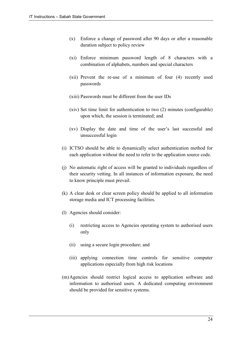- (x) Enforce a change of password after 90 days or after a reasonable duration subject to policy review
- (xi) Enforce minimum password length of 8 characters with a combination of alphabets, numbers and special characters
- (xii) Prevent the re-use of a minimum of four (4) recently used passwords
- (xiii) Passwords must be different from the user IDs
- (xiv) Set time limit for authentication to two (2) minutes (configurable) upon which, the session is terminated; and
- (xv) Display the date and time of the user's last successful and unsuccessful login
- (i) ICTSO should be able to dynamically select authentication method for each application without the need to refer to the application source code.
- (j) No automatic right of access will be granted to individuals regardless of their security vetting. In all instances of information exposure, the need to know principle must prevail.
- (k) A clear desk or clear screen policy should be applied to all information storage media and ICT processing facilities.
- (l) Agencies should consider:
	- (i) restricting access to Agencies operating system to authorised users only
	- (ii) using a secure login procedure; and
	- (iii) applying connection time controls for sensitive computer applications especially from high risk locations
- (m)Agencies should restrict logical access to application software and information to authorised users. A dedicated computing environment should be provided for sensitive systems.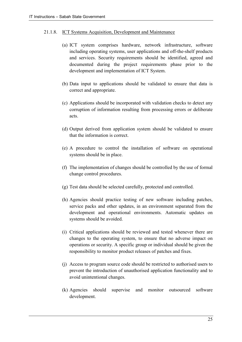# 21.1.8. ICT Systems Acquisition, Development and Maintenance

- (a) ICT system comprises hardware, network infrastructure, software including operating systems, user applications and off-the-shelf products and services. Security requirements should be identified, agreed and documented during the project requirements phase prior to the development and implementation of ICT System.
- (b) Data input to applications should be validated to ensure that data is correct and appropriate.
- (c) Applications should be incorporated with validation checks to detect any corruption of information resulting from processing errors or deliberate acts.
- (d) Output derived from application system should be validated to ensure that the information is correct.
- (e) A procedure to control the installation of software on operational systems should be in place.
- (f) The implementation of changes should be controlled by the use of formal change control procedures.
- (g) Test data should be selected carefully, protected and controlled.
- (h) Agencies should practice testing of new software including patches, service packs and other updates, in an environment separated from the development and operational environments. Automatic updates on systems should be avoided.
- (i) Critical applications should be reviewed and tested whenever there are changes to the operating system, to ensure that no adverse impact on operations or security. A specific group or individual should be given the responsibility to monitor product releases of patches and fixes.
- (j) Access to program source code should be restricted to authorised users to prevent the introduction of unauthorised application functionality and to avoid unintentional changes.
- (k) Agencies should supervise and monitor outsourced software development.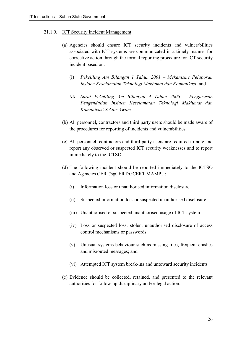# 21.1.9. ICT Security Incident Management

- (a) Agencies should ensure ICT security incidents and vulnerabilities associated with ICT systems are communicated in a timely manner for corrective action through the formal reporting procedure for ICT security incident based on:
	- (i) *Pekeliling Am Bilangan 1 Tahun 2001 Mekanisme Pelaporan Insiden Keselamatan Teknologi Maklumat dan Komunikasi*; and
	- *(ii) Surat Pekeliling Am Bilangan 4 Tahun 2006 Pengurusan Pengendalian Insiden Keselamatan Teknologi Maklumat dan Komunikasi Sektor Awam*
- (b) All personnel, contractors and third party users should be made aware of the procedures for reporting of incidents and vulnerabilities.
- (c) All personnel, contractors and third party users are required to note and report any observed or suspected ICT security weaknesses and to report immediately to the ICTSO.
- (d) The following incident should be reported immediately to the ICTSO and Agencies CERT/sgCERT/GCERT MAMPU:
	- (i) Information loss or unauthorised information disclosure
	- (ii) Suspected information loss or suspected unauthorised disclosure
	- (iii) Unauthorised or suspected unauthorised usage of ICT system
	- (iv) Loss or suspected loss, stolen, unauthorised disclosure of access control mechanisms or passwords
	- (v) Unusual systems behaviour such as missing files, frequent crashes and misrouted messages; and
	- (vi) Attempted ICT system break-ins and untoward security incidents
- (e) Evidence should be collected, retained, and presented to the relevant authorities for follow-up disciplinary and/or legal action.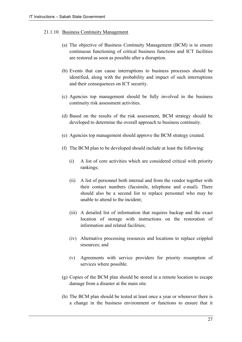# 21.1.10. Business Continuity Management

- (a) The objective of Business Continuity Management (BCM) is to ensure continuous functioning of critical business functions and ICT facilities are restored as soon as possible after a disruption.
- (b) Events that can cause interruptions to business processes should be identified, along with the probability and impact of such interruptions and their consequences on ICT security.
- (c) Agencies top management should be fully involved in the business continuity risk assessment activities.
- (d) Based on the results of the risk assessment, BCM strategy should be developed to determine the overall approach to business continuity.
- (e) Agencies top management should approve the BCM strategy created.
- (f) The BCM plan to be developed should include at least the following:
	- (i) A list of core activities which are considered critical with priority rankings;
	- (ii) A list of personnel both internal and from the vendor together with their contact numbers (facsimile, telephone and e-mail). There should also be a second list to replace personnel who may be unable to attend to the incident;
	- (iii) A detailed list of information that requires backup and the exact location of storage with instructions on the restoration of information and related facilities;
	- (iv) Alternative processing resources and locations to replace crippled resources; and
	- (v) Agreements with service providers for priority resumption of services where possible.
- (g) Copies of the BCM plan should be stored in a remote location to escape damage from a disaster at the main site.
- (h) The BCM plan should be tested at least once a year or whenever there is a change in the business environment or functions to ensure that it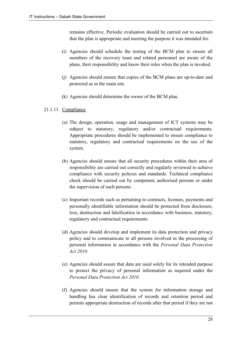remains effective. Periodic evaluation should be carried out to ascertain that the plan is appropriate and meeting the purpose it was intended for.

- (i) Agencies should schedule the testing of the BCM plan to ensure all members of the recovery team and related personnel are aware of the plans, their responsibility and know their roles when the plan is invoked.
- (j) Agencies should ensure that copies of the BCM plans are up-to-date and protected as in the main site.
- (k) Agencies should determine the owner of the BCM plan.
- 21.1.11. Compliance
	- (a) The design, operation, usage and management of ICT systems may be subject to statutory, regulatory and/or contractual requirements. Appropriate procedures should be implemented to ensure compliance to statutory, regulatory and contractual requirements on the use of the system.
	- (b) Agencies should ensure that all security procedures within their area of responsibility are carried out correctly and regularly reviewed to achieve compliance with security policies and standards. Technical compliance check should be carried out by competent, authorised persons or under the supervision of such persons.
	- (c) Important records such as pertaining to contracts, licenses, payments and personally identifiable information should be protected from disclosure, loss, destruction and falsification in accordance with business, statutory, regulatory and contractual requirements.
	- (d) Agencies should develop and implement its data protection and privacy policy and to communicate to all persons involved in the processing of personal information in accordance with the *Personal Data Protection Act 2010*.
	- (e) Agencies should assure that data are used solely for its intended purpose to protect the privacy of personal information as required under the *Personal Data Protection Act 2010*.
	- (f) Agencies should ensure that the system for information storage and handling has clear identification of records and retention period and permits appropriate destruction of records after that period if they are not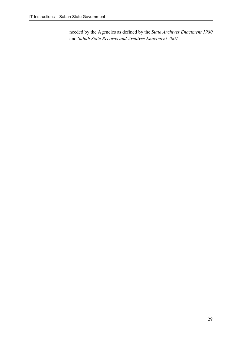needed by the Agencies as defined by the *State Archives Enactment 1980*  and *Sabah State Records and Archives Enactment 2007*.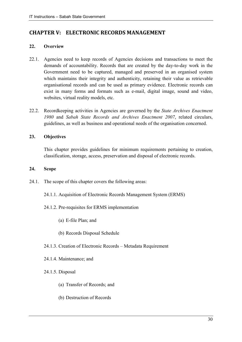# **CHAPTER V: ELECTRONIC RECORDS MANAGEMENT**

# **22. Overview**

- 22.1. Agencies need to keep records of Agencies decisions and transactions to meet the demands of accountability. Records that are created by the day-to-day work in the Government need to be captured, managed and preserved in an organised system which maintains their integrity and authenticity, retaining their value as retrievable organisational records and can be used as primary evidence. Electronic records can exist in many forms and formats such as e-mail, digital image, sound and video, websites, virtual reality models, etc.
- 22.2. Recordkeeping activities in Agencies are governed by the *State Archives Enactment 1980* and *Sabah State Records and Archives Enactment 2007*, related circulars, guidelines, as well as business and operational needs of the organisation concerned.

# **23. Objectives**

This chapter provides guidelines for minimum requirements pertaining to creation, classification, storage, access, preservation and disposal of electronic records.

# **24. Scope**

- 24.1. The scope of this chapter covers the following areas:
	- 24.1.1. Acquisition of Electronic Records Management System (ERMS)
	- 24.1.2. Pre-requisites for ERMS implementation
		- (a) E-file Plan; and
		- (b) Records Disposal Schedule
	- 24.1.3. Creation of Electronic Records Metadata Requirement
	- 24.1.4. Maintenance; and
	- 24.1.5. Disposal
		- (a) Transfer of Records; and
		- (b) Destruction of Records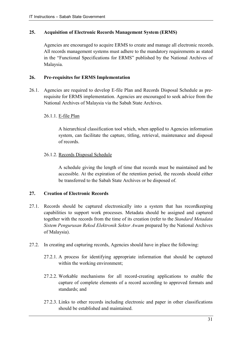# **25. Acquisition of Electronic Records Management System (ERMS)**

Agencies are encouraged to acquire ERMS to create and manage all electronic records. All records management systems must adhere to the mandatory requirements as stated in the "Functional Specifications for ERMS" published by the National Archives of Malaysia.

# **26. Pre-requisites for ERMS Implementation**

26.1. Agencies are required to develop E-file Plan and Records Disposal Schedule as prerequisite for ERMS implementation. Agencies are encouraged to seek advice from the National Archives of Malaysia via the Sabah State Archives.

# 26.1.1. E-file Plan

A hierarchical classification tool which, when applied to Agencies information system, can facilitate the capture, titling, retrieval, maintenance and disposal of records.

# 26.1.2. Records Disposal Schedule

A schedule giving the length of time that records must be maintained and be accessible. At the expiration of the retention period, the records should either be transferred to the Sabah State Archives or be disposed of.

# **27. Creation of Electronic Records**

- 27.1. Records should be captured electronically into a system that has recordkeeping capabilities to support work processes. Metadata should be assigned and captured together with the records from the time of its creation (refer to the *Standard Metadata Sistem Pengurusan Rekod Elektronik Sektor Awam* prepared by the National Archives of Malaysia).
- 27.2. In creating and capturing records, Agencies should have in place the following:
	- 27.2.1. A process for identifying appropriate information that should be captured within the working environment;
	- 27.2.2. Workable mechanisms for all record-creating applications to enable the capture of complete elements of a record according to approved formats and standards; and
	- 27.2.3. Links to other records including electronic and paper in other classifications should be established and maintained.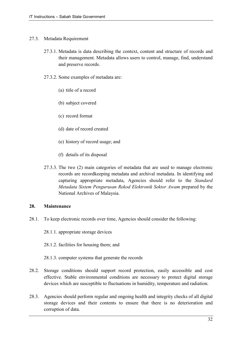#### 27.3. Metadata Requirement

- 27.3.1. Metadata is data describing the context, content and structure of records and their management. Metadata allows users to control, manage, find, understand and preserve records.
- 27.3.2. Some examples of metadata are:
	- (a) title of a record
	- (b) subject covered
	- (c) record format
	- (d) date of record created
	- (e) history of record usage; and
	- (f) details of its disposal
- 27.3.3. The two (2) main categories of metadata that are used to manage electronic records are recordkeeping metadata and archival metadata. In identifying and capturing appropriate metadata, Agencies should refer to the *Standard Metadata Sistem Pengurusan Rekod Elektronik Sektor Awam* prepared by the National Archives of Malaysia.

# **28. Maintenance**

- 28.1. To keep electronic records over time, Agencies should consider the following:
	- 28.1.1. appropriate storage devices
	- 28.1.2. facilities for housing them; and
	- 28.1.3. computer systems that generate the records
- 28.2. Storage conditions should support record protection, easily accessible and cost effective. Stable environmental conditions are necessary to protect digital storage devices which are susceptible to fluctuations in humidity, temperature and radiation.
- 28.3. Agencies should perform regular and ongoing health and integrity checks of all digital storage devices and their contents to ensure that there is no deterioration and corruption of data.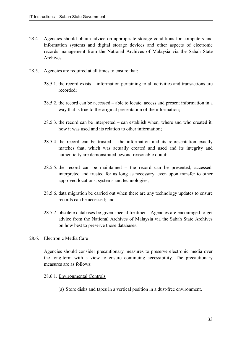- 28.4. Agencies should obtain advice on appropriate storage conditions for computers and information systems and digital storage devices and other aspects of electronic records management from the National Archives of Malaysia via the Sabah State Archives.
- 28.5. Agencies are required at all times to ensure that:
	- 28.5.1. the record exists information pertaining to all activities and transactions are recorded;
	- 28.5.2. the record can be accessed able to locate, access and present information in a way that is true to the original presentation of the information;
	- 28.5.3. the record can be interpreted can establish when, where and who created it, how it was used and its relation to other information;
	- 28.5.4. the record can be trusted the information and its representation exactly matches that, which was actually created and used and its integrity and authenticity are demonstrated beyond reasonable doubt;
	- 28.5.5. the record can be maintained the record can be presented, accessed, interpreted and trusted for as long as necessary, even upon transfer to other approved locations, systems and technologies;
	- 28.5.6. data migration be carried out when there are any technology updates to ensure records can be accessed; and
	- 28.5.7. obsolete databases be given special treatment. Agencies are encouraged to get advice from the National Archives of Malaysia via the Sabah State Archives on how best to preserve those databases.
- 28.6. Electronic Media Care

Agencies should consider precautionary measures to preserve electronic media over the long-term with a view to ensure continuing accessibility. The precautionary measures are as follows:

#### 28.6.1. Environmental Controls

(a) Store disks and tapes in a vertical position in a dust-free environment.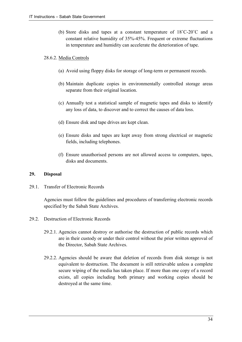(b) Store disks and tapes at a constant temperature of 18˚C-20˚C and a constant relative humidity of 35%-45%. Frequent or extreme fluctuations in temperature and humidity can accelerate the deterioration of tape.

# 28.6.2. Media Controls

- (a) Avoid using floppy disks for storage of long-term or permanent records.
- (b) Maintain duplicate copies in environmentally controlled storage areas separate from their original location.
- (c) Annually test a statistical sample of magnetic tapes and disks to identify any loss of data, to discover and to correct the causes of data loss.
- (d) Ensure disk and tape drives are kept clean.
- (e) Ensure disks and tapes are kept away from strong electrical or magnetic fields, including telephones.
- (f) Ensure unauthorised persons are not allowed access to computers, tapes, disks and documents.

# **29. Disposal**

29.1. Transfer of Electronic Records

Agencies must follow the guidelines and procedures of transferring electronic records specified by the Sabah State Archives.

- 29.2. Destruction of Electronic Records
	- 29.2.1. Agencies cannot destroy or authorise the destruction of public records which are in their custody or under their control without the prior written approval of the Director, Sabah State Archives.
	- 29.2.2. Agencies should be aware that deletion of records from disk storage is not equivalent to destruction. The document is still retrievable unless a complete secure wiping of the media has taken place. If more than one copy of a record exists, all copies including both primary and working copies should be destroyed at the same time.